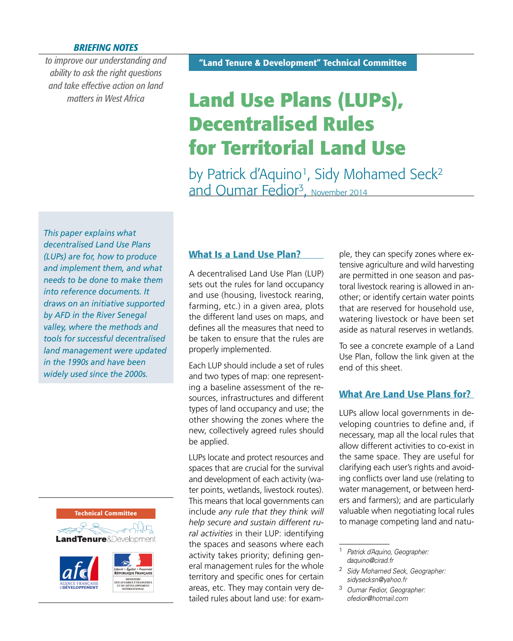#### *BRIEFING NOTES*

*to improve our understanding and ability to ask the right questions and take effective action on land matters in West Africa*

# **Land Use Plans (LUPs), Decentralised Rules for Territorial Land Use**

by Patrick d'Aquino<sup>1</sup>, Sidy Mohamed Seck<sup>2</sup> and Oumar Fedior<sup>3</sup>, November 2014

*This paper explains what decentralised Land Use Plans (LUPs) are for, how to produce and implement them, and what needs to be done to make them into reference documents. It draws on an initiative supported by AFD in the River Senegal valley, where the methods and tools for successful decentralised land management were updated in the 1990s and have been widely used since the 2000s.*





## **What Is a Land Use Plan?**

A decentralised Land Use Plan (LUP) sets out the rules for land occupancy and use (housing, livestock rearing, farming, etc.) in a given area, plots the different land uses on maps, and defines all the measures that need to be taken to ensure that the rules are properly implemented.

Each LUP should include a set of rules and two types of map: one representing a baseline assessment of the resources, infrastructures and different types of land occupancy and use; the other showing the zones where the new, collectively agreed rules should be applied.

LUPs locate and protect resources and spaces that are crucial for the survival and development of each activity (water points, wetlands, livestock routes). This means that local governments can include *any rule that they think will help secure and sustain different rural activities* in their LUP: identifying the spaces and seasons where each activity takes priority; defining general management rules for the whole territory and specific ones for certain areas, etc. They may contain very detailed rules about land use: for example, they can specify zones where extensive agriculture and wild harvesting are permitted in one season and pastoral livestock rearing is allowed in another; or identify certain water points that are reserved for household use, watering livestock or have been set aside as natural reserves in wetlands.

To see a concrete example of a Land Use Plan, follow the link given at the end of this sheet.

### **What Are Land Use Plans for?**

LUPs allow local governments in developing countries to define and, if necessary, map all the local rules that allow different activities to co-exist in the same space. They are useful for clarifying each user's rights and avoiding conflicts over land use (relating to water management, or between herders and farmers); and are particularly valuable when negotiating local rules to manage competing land and natu-

<sup>1</sup> *Patrick d'Aquino, Geographer: [daquino@cirad.fr](mailto:daquino@cirad.fr)*

<sup>2</sup> *Sidy Mohamed Seck, Geographer: [sidysecksn@yahoo.fr](mailto:sidysecksn@yahoo.fr)*

<sup>3</sup> *Oumar Fedior, Geographer: [ofedior@hotmail.com](mailto:ofedior@hotmail.com)*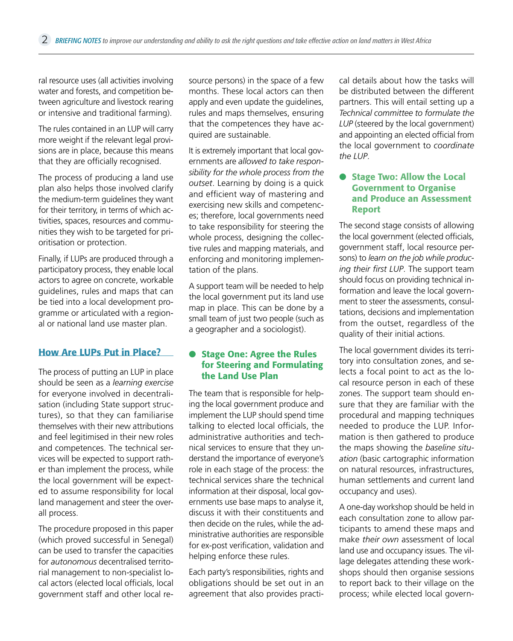ral resource uses (all activities involving water and forests, and competition between agriculture and livestock rearing or intensive and traditional farming).

The rules contained in an LUP will carry more weight if the relevant legal provisions are in place, because this means that they are officially recognised.

The process of producing a land use plan also helps those involved clarify the medium-term guidelines they want for their territory, in terms of which activities, spaces, resources and communities they wish to be targeted for prioritisation or protection.

Finally, if LUPs are produced through a participatory process, they enable local actors to agree on concrete, workable guidelines, rules and maps that can be tied into a local development programme or articulated with a regional or national land use master plan.

## **How Are LUPs Put in Place?**

The process of putting an LUP in place should be seen as a *learning exercise*  for everyone involved in decentralisation (including State support structures), so that they can familiarise themselves with their new attributions and feel legitimised in their new roles and competences. The technical services will be expected to support rather than implement the process, while the local government will be expected to assume responsibility for local land management and steer the overall process.

The procedure proposed in this paper (which proved successful in Senegal) can be used to transfer the capacities for *autonomous* decentralised territorial management to non-specialist local actors (elected local officials, local government staff and other local resource persons) in the space of a few months. These local actors can then apply and even update the guidelines, rules and maps themselves, ensuring that the competences they have acquired are sustainable.

It is extremely important that local governments are *allowed to take responsibility for the whole process from the outset*. Learning by doing is a quick and efficient way of mastering and exercising new skills and competences; therefore, local governments need to take responsibility for steering the whole process, designing the collective rules and mapping materials, and enforcing and monitoring implementation of the plans.

A support team will be needed to help the local government put its land use map in place. This can be done by a small team of just two people (such as a geographer and a sociologist).

#### ● **Stage One: Agree the Rules for Steering and Formulating the Land Use Plan**

The team that is responsible for helping the local government produce and implement the LUP should spend time talking to elected local officials, the administrative authorities and technical services to ensure that they understand the importance of everyone's role in each stage of the process: the technical services share the technical information at their disposal, local governments use base maps to analyse it. discuss it with their constituents and then decide on the rules, while the administrative authorities are responsible for ex-post verification, validation and helping enforce these rules.

Each party's responsibilities, rights and obligations should be set out in an agreement that also provides practical details about how the tasks will be distributed between the different partners. This will entail setting up a *Technical committee to formulate the LUP* (steered by the local government) and appointing an elected official from the local government to *coordinate the LUP*.

#### ● **Stage Two: Allow the Local Government to Organise and Produce an Assessment Report**

The second stage consists of allowing the local government (elected officials, government staff, local resource persons) to *learn on the job while producing their first LUP*. The support team should focus on providing technical information and leave the local government to steer the assessments, consultations, decisions and implementation from the outset, regardless of the quality of their initial actions.

The local government divides its territory into consultation zones, and selects a focal point to act as the local resource person in each of these zones. The support team should ensure that they are familiar with the procedural and mapping techniques needed to produce the LUP. Information is then gathered to produce the maps showing the *baseline situation* (basic cartographic information on natural resources, infrastructures, human settlements and current land occupancy and uses).

A one-day workshop should be held in each consultation zone to allow participants to amend these maps and make *their own* assessment of local land use and occupancy issues. The village delegates attending these workshops should then organise sessions to report back to their village on the process; while elected local govern-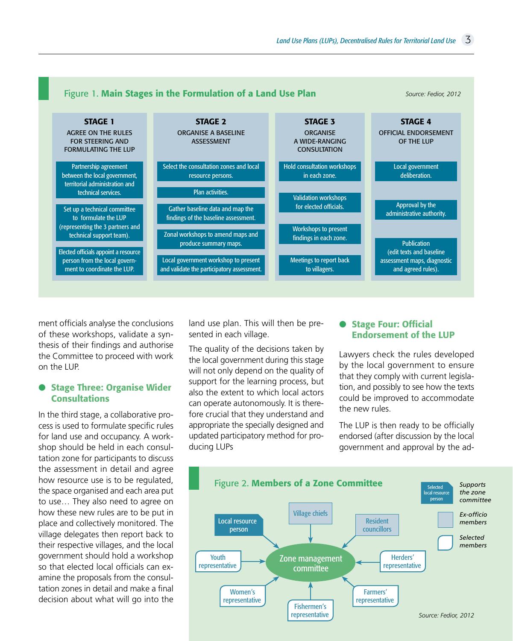

ment officials analyse the conclusions of these workshops, validate a synthesis of their findings and authorise the Committee to proceed with work on the LUP.

#### ● **Stage Three: Organise Wider Consultations**

In the third stage, a collaborative process is used to formulate specific rules for land use and occupancy. A workshop should be held in each consultation zone for participants to discuss the assessment in detail and agree how resource use is to be regulated, the space organised and each area put to use… They also need to agree on how these new rules are to be put in place and collectively monitored. The village delegates then report back to their respective villages, and the local government should hold a workshop so that elected local officials can examine the proposals from the consultation zones in detail and make a final decision about what will go into the

land use plan. This will then be presented in each village.

The quality of the decisions taken by the local government during this stage will not only depend on the quality of support for the learning process, but also the extent to which local actors can operate autonomously. It is therefore crucial that they understand and appropriate the specially designed and updated participatory method for producing LUPs

#### ● **Stage Four: Official Endorsement of the LUP**

Lawyers check the rules developed by the local government to ensure that they comply with current legislation, and possibly to see how the texts could be improved to accommodate the new rules.

The LUP is then ready to be officially endorsed (after discussion by the local government and approval by the ad-